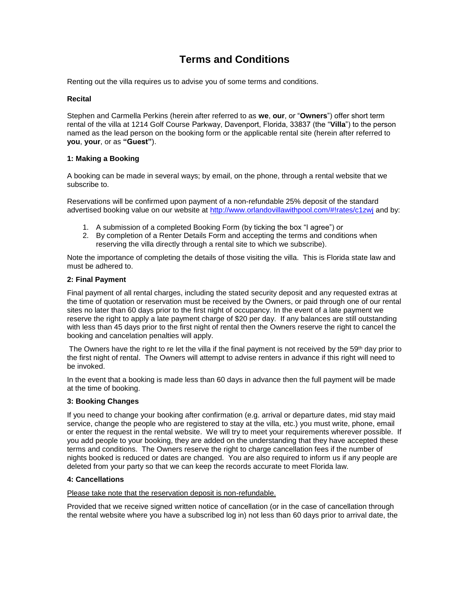# **Terms and Conditions**

Renting out the villa requires us to advise you of some terms and conditions.

## **Recital**

Stephen and Carmella Perkins (herein after referred to as **we**, **our**, or "**Owners**") offer short term rental of the villa at 1214 Golf Course Parkway, Davenport, Florida, 33837 (the "**Villa**") to the person named as the lead person on the booking form or the applicable rental site (herein after referred to **you**, **your**, or as **"Guest"**).

## **1: Making a Booking**

A booking can be made in several ways; by email, on the phone, through a rental website that we subscribe to.

Reservations will be confirmed upon payment of a non-refundable 25% deposit of the standard advertised booking value on our website at [http://www.orlandovillawithpool.com/#!rates/c1zwj](http://www.orlandovillawithpool.com/%23!rates/c1zwj) and by:

- 1. A submission of a completed Booking Form (by ticking the box "I agree") or
- 2. By completion of a Renter Details Form and accepting the terms and conditions when reserving the villa directly through a rental site to which we subscribe).

Note the importance of completing the details of those visiting the villa. This is Florida state law and must be adhered to.

## **2: Final Payment**

Final payment of all rental charges, including the stated security deposit and any requested extras at the time of quotation or reservation must be received by the Owners, or paid through one of our rental sites no later than 60 days prior to the first night of occupancy. In the event of a late payment we reserve the right to apply a late payment charge of \$20 per day. If any balances are still outstanding with less than 45 days prior to the first night of rental then the Owners reserve the right to cancel the booking and cancelation penalties will apply.

The Owners have the right to re let the villa if the final payment is not received by the 59th day prior to the first night of rental. The Owners will attempt to advise renters in advance if this right will need to be invoked.

In the event that a booking is made less than 60 days in advance then the full payment will be made at the time of booking.

## **3: Booking Changes**

If you need to change your booking after confirmation (e.g. arrival or departure dates, mid stay maid service, change the people who are registered to stay at the villa, etc.) you must write, phone, email or enter the request in the rental website. We will try to meet your requirements wherever possible. If you add people to your booking, they are added on the understanding that they have accepted these terms and conditions. The Owners reserve the right to charge cancellation fees if the number of nights booked is reduced or dates are changed. You are also required to inform us if any people are deleted from your party so that we can keep the records accurate to meet Florida law.

## **4: Cancellations**

Please take note that the reservation deposit is non-refundable.

Provided that we receive signed written notice of cancellation (or in the case of cancellation through the rental website where you have a subscribed log in) not less than 60 days prior to arrival date, the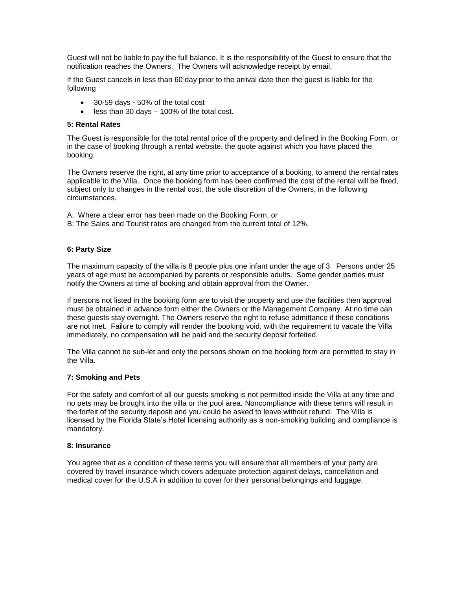Guest will not be liable to pay the full balance. It is the responsibility of the Guest to ensure that the notification reaches the Owners. The Owners will acknowledge receipt by email.

If the Guest cancels in less than 60 day prior to the arrival date then the guest is liable for the following

- 30-59 days 50% of the total cost
- $\bullet$  less than 30 days  $-$  100% of the total cost.

## **5: Rental Rates**

The Guest is responsible for the total rental price of the property and defined in the Booking Form, or in the case of booking through a rental website, the quote against which you have placed the booking.

The Owners reserve the right, at any time prior to acceptance of a booking, to amend the rental rates applicable to the Villa. Once the booking form has been confirmed the cost of the rental will be fixed, subject only to changes in the rental cost, the sole discretion of the Owners, in the following circumstances.

A: Where a clear error has been made on the Booking Form, or

B: The Sales and Tourist rates are changed from the current total of 12%.

## **6: Party Size**

The maximum capacity of the villa is 8 people plus one infant under the age of 3. Persons under 25 years of age must be accompanied by parents or responsible adults. Same gender parties must notify the Owners at time of booking and obtain approval from the Owner.

If persons not listed in the booking form are to visit the property and use the facilities then approval must be obtained in advance form either the Owners or the Management Company. At no time can these guests stay overnight. The Owners reserve the right to refuse admittance if these conditions are not met. Failure to comply will render the booking void, with the requirement to vacate the Villa immediately, no compensation will be paid and the security deposit forfeited.

The Villa cannot be sub-let and only the persons shown on the booking form are permitted to stay in the Villa.

## **7: Smoking and Pets**

For the safety and comfort of all our guests smoking is not permitted inside the Villa at any time and no pets may be brought into the villa or the pool area. Noncompliance with these terms will result in the forfeit of the security deposit and you could be asked to leave without refund. The Villa is licensed by the Florida State's Hotel licensing authority as a non-smoking building and compliance is mandatory.

## **8: Insurance**

You agree that as a condition of these terms you will ensure that all members of your party are covered by travel insurance which covers adequate protection against delays, cancellation and medical cover for the U.S.A in addition to cover for their personal belongings and luggage.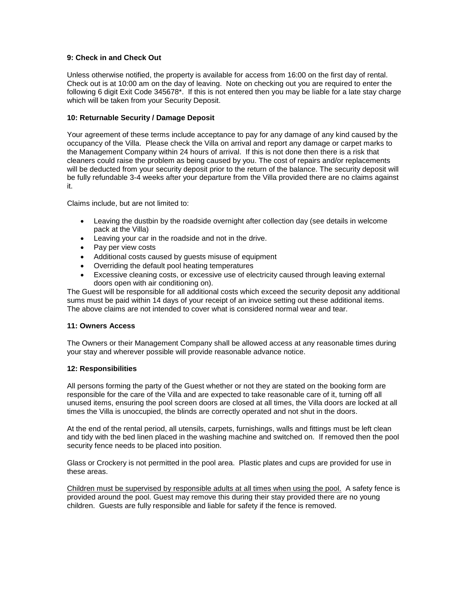## **9: Check in and Check Out**

Unless otherwise notified, the property is available for access from 16:00 on the first day of rental. Check out is at 10:00 am on the day of leaving. Note on checking out you are required to enter the following 6 digit Exit Code 345678\*. If this is not entered then you may be liable for a late stay charge which will be taken from your Security Deposit.

## **10: Returnable Security / Damage Deposit**

Your agreement of these terms include acceptance to pay for any damage of any kind caused by the occupancy of the Villa. Please check the Villa on arrival and report any damage or carpet marks to the Management Company within 24 hours of arrival. If this is not done then there is a risk that cleaners could raise the problem as being caused by you. The cost of repairs and/or replacements will be deducted from your security deposit prior to the return of the balance. The security deposit will be fully refundable 3-4 weeks after your departure from the Villa provided there are no claims against it.

Claims include, but are not limited to:

- Leaving the dustbin by the roadside overnight after collection day (see details in welcome pack at the Villa)
- Leaving your car in the roadside and not in the drive.
- Pay per view costs
- Additional costs caused by guests misuse of equipment
- Overriding the default pool heating temperatures
- Excessive cleaning costs, or excessive use of electricity caused through leaving external doors open with air conditioning on).

The Guest will be responsible for all additional costs which exceed the security deposit any additional sums must be paid within 14 days of your receipt of an invoice setting out these additional items. The above claims are not intended to cover what is considered normal wear and tear.

## **11: Owners Access**

The Owners or their Management Company shall be allowed access at any reasonable times during your stay and wherever possible will provide reasonable advance notice.

## **12: Responsibilities**

All persons forming the party of the Guest whether or not they are stated on the booking form are responsible for the care of the Villa and are expected to take reasonable care of it, turning off all unused items, ensuring the pool screen doors are closed at all times, the Villa doors are locked at all times the Villa is unoccupied, the blinds are correctly operated and not shut in the doors.

At the end of the rental period, all utensils, carpets, furnishings, walls and fittings must be left clean and tidy with the bed linen placed in the washing machine and switched on. If removed then the pool security fence needs to be placed into position.

Glass or Crockery is not permitted in the pool area. Plastic plates and cups are provided for use in these areas.

Children must be supervised by responsible adults at all times when using the pool. A safety fence is provided around the pool. Guest may remove this during their stay provided there are no young children. Guests are fully responsible and liable for safety if the fence is removed.